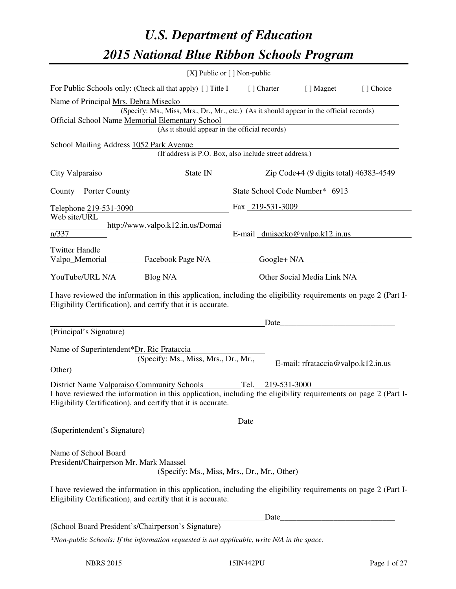# *U.S. Department of Education 2015 National Blue Ribbon Schools Program*

|                                                                                                                                                                                                                              |                                                                | [X] Public or [] Non-public                                                                  |                                    |           |  |  |
|------------------------------------------------------------------------------------------------------------------------------------------------------------------------------------------------------------------------------|----------------------------------------------------------------|----------------------------------------------------------------------------------------------|------------------------------------|-----------|--|--|
| For Public Schools only: (Check all that apply) [] Title I                                                                                                                                                                   |                                                                | [ ] Charter                                                                                  | [ ] Magnet                         | [] Choice |  |  |
| Name of Principal Mrs. Debra Misecko<br>Official School Name Memorial Elementary School                                                                                                                                      | (As it should appear in the official records)                  | (Specify: Ms., Miss, Mrs., Dr., Mr., etc.) (As it should appear in the official records)     |                                    |           |  |  |
| School Mailing Address 1052 Park Avenue                                                                                                                                                                                      |                                                                | (If address is P.O. Box, also include street address.)                                       |                                    |           |  |  |
| City Valparaiso State IN Zip Code+4 (9 digits total) 46383-4549                                                                                                                                                              |                                                                |                                                                                              |                                    |           |  |  |
| County Porter County State School Code Number* 6913                                                                                                                                                                          |                                                                |                                                                                              |                                    |           |  |  |
| Telephone 219-531-3090                                                                                                                                                                                                       |                                                                | Fax 219-531-3009                                                                             |                                    |           |  |  |
| Web site/URL<br>n/337                                                                                                                                                                                                        | http://www.valpo.k12.in.us/Domai                               | E-mail dmisecko@valpo.k12.in.us                                                              |                                    |           |  |  |
| <b>Twitter Handle</b><br>Valpo_Memorial Facebook Page N/A Google+ N/A                                                                                                                                                        |                                                                |                                                                                              |                                    |           |  |  |
|                                                                                                                                                                                                                              | YouTube/URL N/A Blog N/A Discovery Other Social Media Link N/A |                                                                                              |                                    |           |  |  |
| I have reviewed the information in this application, including the eligibility requirements on page 2 (Part I-<br>Eligibility Certification), and certify that it is accurate.                                               |                                                                |                                                                                              |                                    |           |  |  |
| (Principal's Signature)                                                                                                                                                                                                      |                                                                |                                                                                              |                                    |           |  |  |
| Name of Superintendent*Dr. Ric Frataccia                                                                                                                                                                                     | (Specify: Ms., Miss, Mrs., Dr., Mr.,                           |                                                                                              | E-mail: rfrataccia@valpo.k12.in.us |           |  |  |
| Other)                                                                                                                                                                                                                       |                                                                |                                                                                              |                                    |           |  |  |
| District Name Valparaiso Community Schools<br>I have reviewed the information in this application, including the eligibility requirements on page 2 (Part I-<br>Eligibility Certification), and certify that it is accurate. |                                                                | Tel. 219-531-3000                                                                            |                                    |           |  |  |
|                                                                                                                                                                                                                              |                                                                | Date                                                                                         |                                    |           |  |  |
| (Superintendent's Signature)                                                                                                                                                                                                 |                                                                |                                                                                              |                                    |           |  |  |
| Name of School Board<br>President/Chairperson Mr. Mark Maassel                                                                                                                                                               |                                                                | Solution Contains Article Contains Article Check (Specify: Ms., Miss, Mrs., Dr., Mr., Other) |                                    |           |  |  |
| I have reviewed the information in this application, including the eligibility requirements on page 2 (Part I-<br>Eligibility Certification), and certify that it is accurate.                                               |                                                                |                                                                                              |                                    |           |  |  |
|                                                                                                                                                                                                                              |                                                                | Date                                                                                         |                                    |           |  |  |
| (School Board President's/Chairperson's Signature)                                                                                                                                                                           |                                                                |                                                                                              |                                    |           |  |  |
| *Non-public Schools: If the information requested is not applicable, write N/A in the space.                                                                                                                                 |                                                                |                                                                                              |                                    |           |  |  |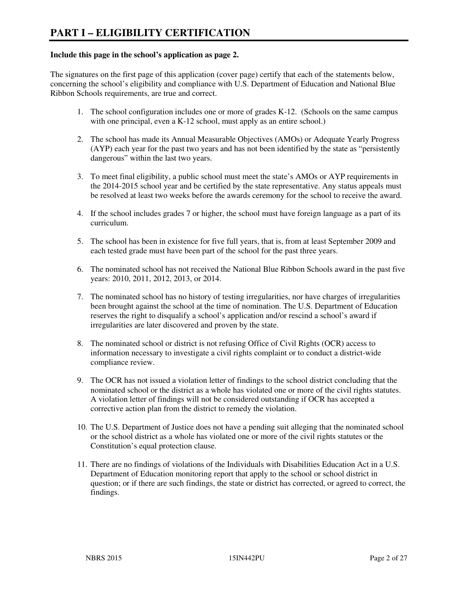#### **Include this page in the school's application as page 2.**

The signatures on the first page of this application (cover page) certify that each of the statements below, concerning the school's eligibility and compliance with U.S. Department of Education and National Blue Ribbon Schools requirements, are true and correct.

- 1. The school configuration includes one or more of grades K-12. (Schools on the same campus with one principal, even a K-12 school, must apply as an entire school.)
- 2. The school has made its Annual Measurable Objectives (AMOs) or Adequate Yearly Progress (AYP) each year for the past two years and has not been identified by the state as "persistently dangerous" within the last two years.
- 3. To meet final eligibility, a public school must meet the state's AMOs or AYP requirements in the 2014-2015 school year and be certified by the state representative. Any status appeals must be resolved at least two weeks before the awards ceremony for the school to receive the award.
- 4. If the school includes grades 7 or higher, the school must have foreign language as a part of its curriculum.
- 5. The school has been in existence for five full years, that is, from at least September 2009 and each tested grade must have been part of the school for the past three years.
- 6. The nominated school has not received the National Blue Ribbon Schools award in the past five years: 2010, 2011, 2012, 2013, or 2014.
- 7. The nominated school has no history of testing irregularities, nor have charges of irregularities been brought against the school at the time of nomination. The U.S. Department of Education reserves the right to disqualify a school's application and/or rescind a school's award if irregularities are later discovered and proven by the state.
- 8. The nominated school or district is not refusing Office of Civil Rights (OCR) access to information necessary to investigate a civil rights complaint or to conduct a district-wide compliance review.
- 9. The OCR has not issued a violation letter of findings to the school district concluding that the nominated school or the district as a whole has violated one or more of the civil rights statutes. A violation letter of findings will not be considered outstanding if OCR has accepted a corrective action plan from the district to remedy the violation.
- 10. The U.S. Department of Justice does not have a pending suit alleging that the nominated school or the school district as a whole has violated one or more of the civil rights statutes or the Constitution's equal protection clause.
- 11. There are no findings of violations of the Individuals with Disabilities Education Act in a U.S. Department of Education monitoring report that apply to the school or school district in question; or if there are such findings, the state or district has corrected, or agreed to correct, the findings.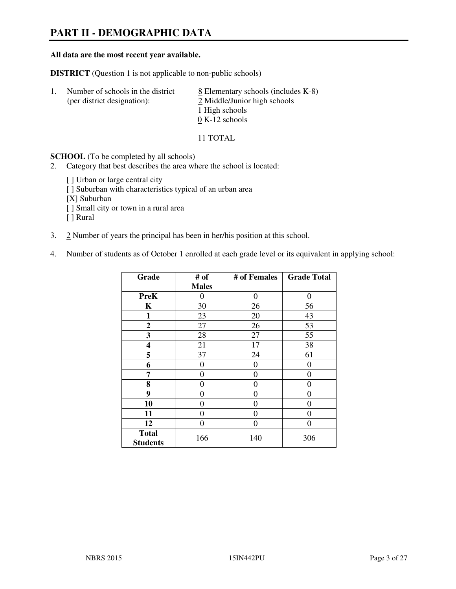# **PART II - DEMOGRAPHIC DATA**

#### **All data are the most recent year available.**

**DISTRICT** (Question 1 is not applicable to non-public schools)

| -1. | Number of schools in the district<br>(per district designation): | $\underline{8}$ Elementary schools (includes K-8)<br>2 Middle/Junior high schools |
|-----|------------------------------------------------------------------|-----------------------------------------------------------------------------------|
|     |                                                                  | 1 High schools                                                                    |
|     |                                                                  | $0 K-12$ schools                                                                  |

11 TOTAL

**SCHOOL** (To be completed by all schools)

- 2. Category that best describes the area where the school is located:
	- [ ] Urban or large central city
	- [ ] Suburban with characteristics typical of an urban area
	- [X] Suburban
	- [ ] Small city or town in a rural area
	- [ ] Rural
- 3. 2 Number of years the principal has been in her/his position at this school.
- 4. Number of students as of October 1 enrolled at each grade level or its equivalent in applying school:

| Grade                           | # of         | # of Females | <b>Grade Total</b> |
|---------------------------------|--------------|--------------|--------------------|
|                                 | <b>Males</b> |              |                    |
| <b>PreK</b>                     | $\theta$     | $\theta$     | $\theta$           |
| K                               | 30           | 26           | 56                 |
| 1                               | 23           | 20           | 43                 |
| $\mathbf{2}$                    | 27           | 26           | 53                 |
| 3                               | 28           | 27           | 55                 |
| 4                               | 21           | 17           | 38                 |
| 5                               | 37           | 24           | 61                 |
| 6                               | 0            | 0            | 0                  |
| 7                               | 0            | $\theta$     | 0                  |
| 8                               | 0            | 0            | 0                  |
| 9                               | $\theta$     | 0            | 0                  |
| 10                              | 0            | 0            | 0                  |
| 11                              | 0            | 0            | $\theta$           |
| 12                              | 0            | 0            | 0                  |
| <b>Total</b><br><b>Students</b> | 166          | 140          | 306                |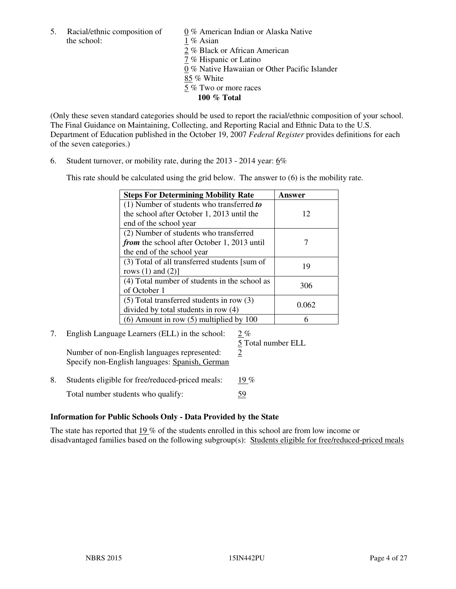5. Racial/ethnic composition of  $0\%$  American Indian or Alaska Native the school: 1 % Asian

 2 % Black or African American 7 % Hispanic or Latino 0 % Native Hawaiian or Other Pacific Islander 85 % White 5 % Two or more races **100 % Total** 

(Only these seven standard categories should be used to report the racial/ethnic composition of your school. The Final Guidance on Maintaining, Collecting, and Reporting Racial and Ethnic Data to the U.S. Department of Education published in the October 19, 2007 *Federal Register* provides definitions for each of the seven categories.)

6. Student turnover, or mobility rate, during the 2013 - 2014 year: 6%

This rate should be calculated using the grid below. The answer to (6) is the mobility rate.

| <b>Steps For Determining Mobility Rate</b>         | Answer |
|----------------------------------------------------|--------|
| $(1)$ Number of students who transferred to        |        |
| the school after October 1, 2013 until the         | 12     |
| end of the school year                             |        |
| (2) Number of students who transferred             |        |
| <i>from</i> the school after October 1, 2013 until |        |
| the end of the school year                         |        |
| (3) Total of all transferred students [sum of      | 19     |
| rows $(1)$ and $(2)$ ]                             |        |
| (4) Total number of students in the school as      | 306    |
| of October 1                                       |        |
| $(5)$ Total transferred students in row $(3)$      | 0.062  |
| divided by total students in row (4)               |        |
| $(6)$ Amount in row $(5)$ multiplied by 100        |        |

# 7. English Language Learners (ELL) in the school: 2 %

Number of non-English languages represented:  $2$ Specify non-English languages: Spanish, German

5 Total number ELL

8. Students eligible for free/reduced-priced meals:  $19\%$ Total number students who qualify: 59

#### **Information for Public Schools Only - Data Provided by the State**

The state has reported that 19 % of the students enrolled in this school are from low income or disadvantaged families based on the following subgroup(s): Students eligible for free/reduced-priced meals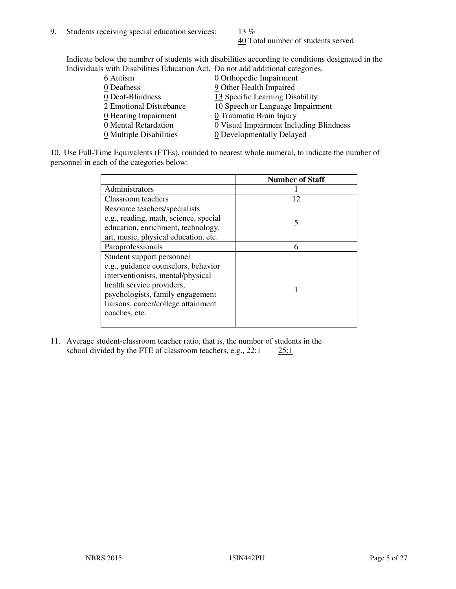40 Total number of students served

Indicate below the number of students with disabilities according to conditions designated in the Individuals with Disabilities Education Act. Do not add additional categories.

| THE LEW CONSTRUCTION OF THE CONSTRUCTION OF THE CONSTRUCTION OF A LOCAL CONSTRUCTION OF A CONSTRUCTION OF THE CONSTRUCTION OF THE CONSTRUCTION OF THE CONSTRUCTION OF THE CONSTRUCTION OF THE CONSTRUCTION OF THE CONSTRUCTIO |                                         |
|-------------------------------------------------------------------------------------------------------------------------------------------------------------------------------------------------------------------------------|-----------------------------------------|
| 6 Autism                                                                                                                                                                                                                      | $\underline{0}$ Orthopedic Impairment   |
| 0 Deafness                                                                                                                                                                                                                    | 9 Other Health Impaired                 |
| 0 Deaf-Blindness                                                                                                                                                                                                              | 13 Specific Learning Disability         |
| 2 Emotional Disturbance                                                                                                                                                                                                       | 10 Speech or Language Impairment        |
| $\underline{0}$ Hearing Impairment                                                                                                                                                                                            | 0 Traumatic Brain Injury                |
| 0 Mental Retardation                                                                                                                                                                                                          | 0 Visual Impairment Including Blindness |
| 0 Multiple Disabilities                                                                                                                                                                                                       | 0 Developmentally Delayed               |
|                                                                                                                                                                                                                               |                                         |

10. Use Full-Time Equivalents (FTEs), rounded to nearest whole numeral, to indicate the number of personnel in each of the categories below:

|                                       | <b>Number of Staff</b> |
|---------------------------------------|------------------------|
| Administrators                        |                        |
| Classroom teachers                    | 12                     |
| Resource teachers/specialists         |                        |
| e.g., reading, math, science, special | 5                      |
| education, enrichment, technology,    |                        |
| art, music, physical education, etc.  |                        |
| Paraprofessionals                     | 6                      |
| Student support personnel             |                        |
| e.g., guidance counselors, behavior   |                        |
| interventionists, mental/physical     |                        |
| health service providers,             |                        |
| psychologists, family engagement      |                        |
| liaisons, career/college attainment   |                        |
| coaches, etc.                         |                        |
|                                       |                        |

11. Average student-classroom teacher ratio, that is, the number of students in the school divided by the FTE of classroom teachers, e.g.,  $22:1$   $25:1$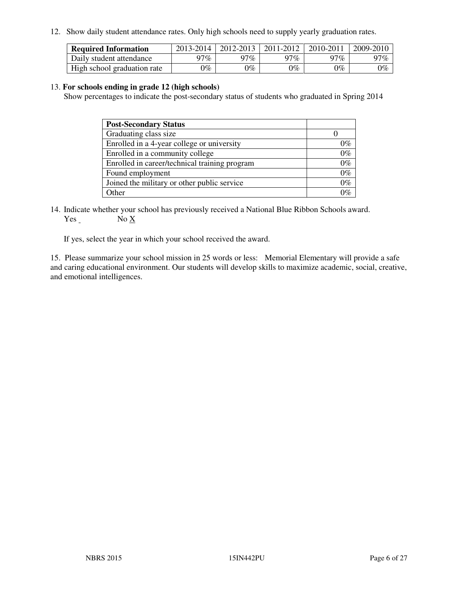12. Show daily student attendance rates. Only high schools need to supply yearly graduation rates.

| <b>Required Information</b> | 2013-2014 | 2012-2013 | 2011-2012 | 2010-2011 | 2009-2010 |
|-----------------------------|-----------|-----------|-----------|-----------|-----------|
| Daily student attendance    | າ $7\%$   | 97%       | 97%       | $77\%$    | 97%       |
| High school graduation rate | 9%        | $0\%$     | $0\%$     | 0%        | $0\%$     |

#### 13. **For schools ending in grade 12 (high schools)**

Show percentages to indicate the post-secondary status of students who graduated in Spring 2014

| <b>Post-Secondary Status</b>                  |       |
|-----------------------------------------------|-------|
| Graduating class size                         |       |
| Enrolled in a 4-year college or university    | በ‰    |
| Enrolled in a community college               | $0\%$ |
| Enrolled in career/technical training program | $0\%$ |
| Found employment                              | $0\%$ |
| Joined the military or other public service   | 0%    |
| Other                                         |       |

14. Indicate whether your school has previously received a National Blue Ribbon Schools award. Yes No X

If yes, select the year in which your school received the award.

15. Please summarize your school mission in 25 words or less: Memorial Elementary will provide a safe and caring educational environment. Our students will develop skills to maximize academic, social, creative, and emotional intelligences.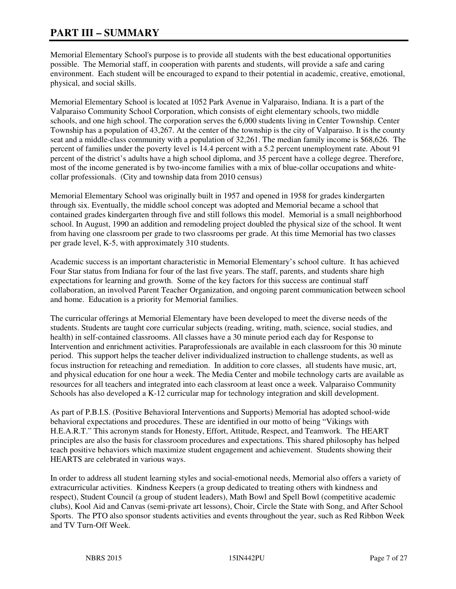# **PART III – SUMMARY**

Memorial Elementary School's purpose is to provide all students with the best educational opportunities possible. The Memorial staff, in cooperation with parents and students, will provide a safe and caring environment. Each student will be encouraged to expand to their potential in academic, creative, emotional, physical, and social skills.

Memorial Elementary School is located at 1052 Park Avenue in Valparaiso, Indiana. It is a part of the Valparaiso Community School Corporation, which consists of eight elementary schools, two middle schools, and one high school. The corporation serves the 6,000 students living in Center Township. Center Township has a population of 43,267. At the center of the township is the city of Valparaiso. It is the county seat and a middle-class community with a population of 32,261. The median family income is \$68,626. The percent of families under the poverty level is 14.4 percent with a 5.2 percent unemployment rate. About 91 percent of the district's adults have a high school diploma, and 35 percent have a college degree. Therefore, most of the income generated is by two-income families with a mix of blue-collar occupations and whitecollar professionals. (City and township data from 2010 census)

Memorial Elementary School was originally built in 1957 and opened in 1958 for grades kindergarten through six. Eventually, the middle school concept was adopted and Memorial became a school that contained grades kindergarten through five and still follows this model. Memorial is a small neighborhood school. In August, 1990 an addition and remodeling project doubled the physical size of the school. It went from having one classroom per grade to two classrooms per grade. At this time Memorial has two classes per grade level, K-5, with approximately 310 students.

Academic success is an important characteristic in Memorial Elementary's school culture. It has achieved Four Star status from Indiana for four of the last five years. The staff, parents, and students share high expectations for learning and growth. Some of the key factors for this success are continual staff collaboration, an involved Parent Teacher Organization, and ongoing parent communication between school and home. Education is a priority for Memorial families.

The curricular offerings at Memorial Elementary have been developed to meet the diverse needs of the students. Students are taught core curricular subjects (reading, writing, math, science, social studies, and health) in self-contained classrooms. All classes have a 30 minute period each day for Response to Intervention and enrichment activities. Paraprofessionals are available in each classroom for this 30 minute period. This support helps the teacher deliver individualized instruction to challenge students, as well as focus instruction for reteaching and remediation. In addition to core classes, all students have music, art, and physical education for one hour a week. The Media Center and mobile technology carts are available as resources for all teachers and integrated into each classroom at least once a week. Valparaiso Community Schools has also developed a K-12 curricular map for technology integration and skill development.

As part of P.B.I.S. (Positive Behavioral Interventions and Supports) Memorial has adopted school-wide behavioral expectations and procedures. These are identified in our motto of being "Vikings with H.E.A.R.T." This acronym stands for Honesty, Effort, Attitude, Respect, and Teamwork. The HEART principles are also the basis for classroom procedures and expectations. This shared philosophy has helped teach positive behaviors which maximize student engagement and achievement. Students showing their HEARTS are celebrated in various ways.

In order to address all student learning styles and social-emotional needs, Memorial also offers a variety of extracurricular activities. Kindness Keepers (a group dedicated to treating others with kindness and respect), Student Council (a group of student leaders), Math Bowl and Spell Bowl (competitive academic clubs), Kool Aid and Canvas (semi-private art lessons), Choir, Circle the State with Song, and After School Sports. The PTO also sponsor students activities and events throughout the year, such as Red Ribbon Week and TV Turn-Off Week.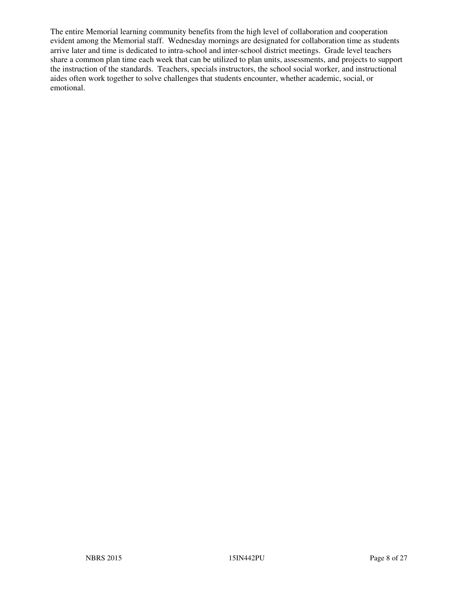The entire Memorial learning community benefits from the high level of collaboration and cooperation evident among the Memorial staff. Wednesday mornings are designated for collaboration time as students arrive later and time is dedicated to intra-school and inter-school district meetings. Grade level teachers share a common plan time each week that can be utilized to plan units, assessments, and projects to support the instruction of the standards. Teachers, specials instructors, the school social worker, and instructional aides often work together to solve challenges that students encounter, whether academic, social, or emotional.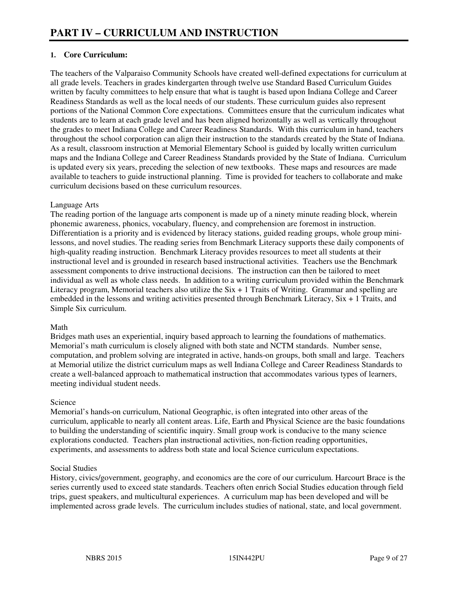## **1. Core Curriculum:**

The teachers of the Valparaiso Community Schools have created well-defined expectations for curriculum at all grade levels. Teachers in grades kindergarten through twelve use Standard Based Curriculum Guides written by faculty committees to help ensure that what is taught is based upon Indiana College and Career Readiness Standards as well as the local needs of our students. These curriculum guides also represent portions of the National Common Core expectations. Committees ensure that the curriculum indicates what students are to learn at each grade level and has been aligned horizontally as well as vertically throughout the grades to meet Indiana College and Career Readiness Standards. With this curriculum in hand, teachers throughout the school corporation can align their instruction to the standards created by the State of Indiana. As a result, classroom instruction at Memorial Elementary School is guided by locally written curriculum maps and the Indiana College and Career Readiness Standards provided by the State of Indiana. Curriculum is updated every six years, preceding the selection of new textbooks. These maps and resources are made available to teachers to guide instructional planning. Time is provided for teachers to collaborate and make curriculum decisions based on these curriculum resources.

#### Language Arts

The reading portion of the language arts component is made up of a ninety minute reading block, wherein phonemic awareness, phonics, vocabulary, fluency, and comprehension are foremost in instruction. Differentiation is a priority and is evidenced by literacy stations, guided reading groups, whole group minilessons, and novel studies. The reading series from Benchmark Literacy supports these daily components of high-quality reading instruction. Benchmark Literacy provides resources to meet all students at their instructional level and is grounded in research based instructional activities. Teachers use the Benchmark assessment components to drive instructional decisions. The instruction can then be tailored to meet individual as well as whole class needs. In addition to a writing curriculum provided within the Benchmark Literacy program, Memorial teachers also utilize the  $Six + 1$  Traits of Writing. Grammar and spelling are embedded in the lessons and writing activities presented through Benchmark Literacy, Six + 1 Traits, and Simple Six curriculum.

#### Math

Bridges math uses an experiential, inquiry based approach to learning the foundations of mathematics. Memorial's math curriculum is closely aligned with both state and NCTM standards. Number sense, computation, and problem solving are integrated in active, hands-on groups, both small and large. Teachers at Memorial utilize the district curriculum maps as well Indiana College and Career Readiness Standards to create a well-balanced approach to mathematical instruction that accommodates various types of learners, meeting individual student needs.

#### Science

Memorial's hands-on curriculum, National Geographic, is often integrated into other areas of the curriculum, applicable to nearly all content areas. Life, Earth and Physical Science are the basic foundations to building the understanding of scientific inquiry. Small group work is conducive to the many science explorations conducted. Teachers plan instructional activities, non-fiction reading opportunities, experiments, and assessments to address both state and local Science curriculum expectations.

#### Social Studies

History, civics/government, geography, and economics are the core of our curriculum. Harcourt Brace is the series currently used to exceed state standards. Teachers often enrich Social Studies education through field trips, guest speakers, and multicultural experiences. A curriculum map has been developed and will be implemented across grade levels. The curriculum includes studies of national, state, and local government.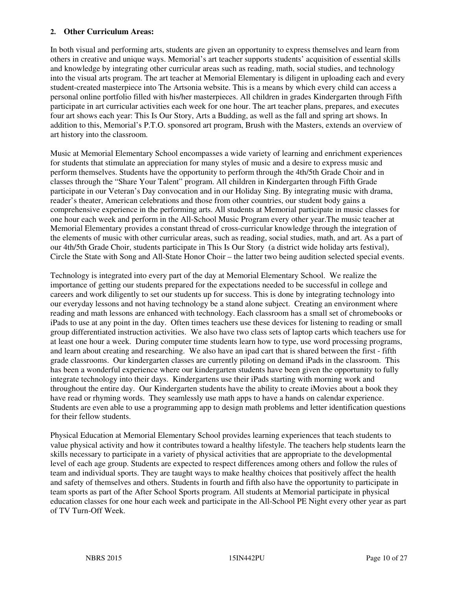#### **2. Other Curriculum Areas:**

In both visual and performing arts, students are given an opportunity to express themselves and learn from others in creative and unique ways. Memorial's art teacher supports students' acquisition of essential skills and knowledge by integrating other curricular areas such as reading, math, social studies, and technology into the visual arts program. The art teacher at Memorial Elementary is diligent in uploading each and every student-created masterpiece into The Artsonia website. This is a means by which every child can access a personal online portfolio filled with his/her masterpieces. All children in grades Kindergarten through Fifth participate in art curricular activities each week for one hour. The art teacher plans, prepares, and executes four art shows each year: This Is Our Story, Arts a Budding, as well as the fall and spring art shows. In addition to this, Memorial's P.T.O. sponsored art program, Brush with the Masters, extends an overview of art history into the classroom.

Music at Memorial Elementary School encompasses a wide variety of learning and enrichment experiences for students that stimulate an appreciation for many styles of music and a desire to express music and perform themselves. Students have the opportunity to perform through the 4th/5th Grade Choir and in classes through the "Share Your Talent" program. All children in Kindergarten through Fifth Grade participate in our Veteran's Day convocation and in our Holiday Sing. By integrating music with drama, reader's theater, American celebrations and those from other countries, our student body gains a comprehensive experience in the performing arts. All students at Memorial participate in music classes for one hour each week and perform in the All-School Music Program every other year.The music teacher at Memorial Elementary provides a constant thread of cross-curricular knowledge through the integration of the elements of music with other curricular areas, such as reading, social studies, math, and art. As a part of our 4th/5th Grade Choir, students participate in This Is Our Story (a district wide holiday arts festival), Circle the State with Song and All-State Honor Choir – the latter two being audition selected special events.

Technology is integrated into every part of the day at Memorial Elementary School. We realize the importance of getting our students prepared for the expectations needed to be successful in college and careers and work diligently to set our students up for success. This is done by integrating technology into our everyday lessons and not having technology be a stand alone subject. Creating an environment where reading and math lessons are enhanced with technology. Each classroom has a small set of chromebooks or iPads to use at any point in the day. Often times teachers use these devices for listening to reading or small group differentiated instruction activities. We also have two class sets of laptop carts which teachers use for at least one hour a week. During computer time students learn how to type, use word processing programs, and learn about creating and researching. We also have an ipad cart that is shared between the first - fifth grade classrooms. Our kindergarten classes are currently piloting on demand iPads in the classroom. This has been a wonderful experience where our kindergarten students have been given the opportunity to fully integrate technology into their days. Kindergartens use their iPads starting with morning work and throughout the entire day. Our Kindergarten students have the ability to create iMovies about a book they have read or rhyming words. They seamlessly use math apps to have a hands on calendar experience. Students are even able to use a programming app to design math problems and letter identification questions for their fellow students.

Physical Education at Memorial Elementary School provides learning experiences that teach students to value physical activity and how it contributes toward a healthy lifestyle. The teachers help students learn the skills necessary to participate in a variety of physical activities that are appropriate to the developmental level of each age group. Students are expected to respect differences among others and follow the rules of team and individual sports. They are taught ways to make healthy choices that positively affect the health and safety of themselves and others. Students in fourth and fifth also have the opportunity to participate in team sports as part of the After School Sports program. All students at Memorial participate in physical education classes for one hour each week and participate in the All-School PE Night every other year as part of TV Turn-Off Week.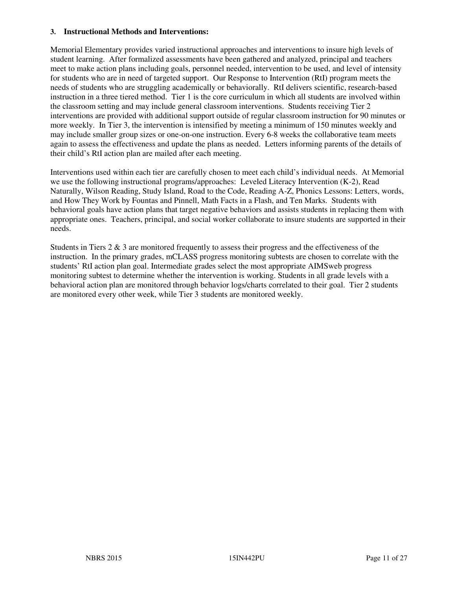#### **3. Instructional Methods and Interventions:**

Memorial Elementary provides varied instructional approaches and interventions to insure high levels of student learning. After formalized assessments have been gathered and analyzed, principal and teachers meet to make action plans including goals, personnel needed, intervention to be used, and level of intensity for students who are in need of targeted support. Our Response to Intervention (RtI) program meets the needs of students who are struggling academically or behaviorally. RtI delivers scientific, research-based instruction in a three tiered method. Tier 1 is the core curriculum in which all students are involved within the classroom setting and may include general classroom interventions. Students receiving Tier 2 interventions are provided with additional support outside of regular classroom instruction for 90 minutes or more weekly. In Tier 3, the intervention is intensified by meeting a minimum of 150 minutes weekly and may include smaller group sizes or one-on-one instruction. Every 6-8 weeks the collaborative team meets again to assess the effectiveness and update the plans as needed. Letters informing parents of the details of their child's RtI action plan are mailed after each meeting.

Interventions used within each tier are carefully chosen to meet each child's individual needs. At Memorial we use the following instructional programs/approaches: Leveled Literacy Intervention (K-2), Read Naturally, Wilson Reading, Study Island, Road to the Code, Reading A-Z, Phonics Lessons: Letters, words, and How They Work by Fountas and Pinnell, Math Facts in a Flash, and Ten Marks. Students with behavioral goals have action plans that target negative behaviors and assists students in replacing them with appropriate ones. Teachers, principal, and social worker collaborate to insure students are supported in their needs.

Students in Tiers  $2 \& 3$  are monitored frequently to assess their progress and the effectiveness of the instruction. In the primary grades, mCLASS progress monitoring subtests are chosen to correlate with the students' RtI action plan goal. Intermediate grades select the most appropriate AIMSweb progress monitoring subtest to determine whether the intervention is working. Students in all grade levels with a behavioral action plan are monitored through behavior logs/charts correlated to their goal. Tier 2 students are monitored every other week, while Tier 3 students are monitored weekly.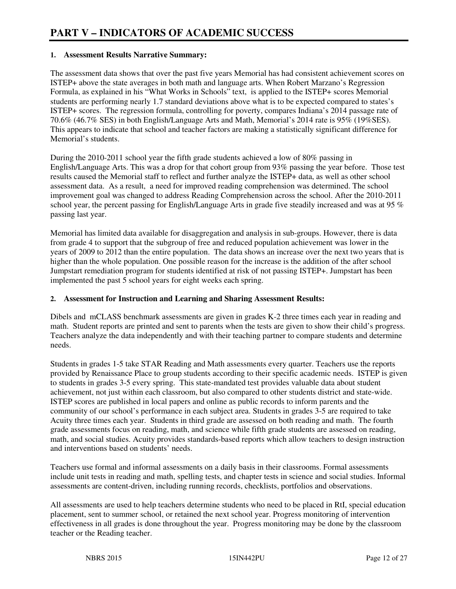#### **1. Assessment Results Narrative Summary:**

The assessment data shows that over the past five years Memorial has had consistent achievement scores on ISTEP+ above the state averages in both math and language arts. When Robert Marzano's Regression Formula, as explained in his "What Works in Schools" text, is applied to the ISTEP+ scores Memorial students are performing nearly 1.7 standard deviations above what is to be expected compared to states's ISTEP+ scores. The regression formula, controlling for poverty, compares Indiana's 2014 passage rate of 70.6% (46.7% SES) in both English/Language Arts and Math, Memorial's 2014 rate is 95% (19%SES). This appears to indicate that school and teacher factors are making a statistically significant difference for Memorial's students.

During the 2010-2011 school year the fifth grade students achieved a low of 80% passing in English/Language Arts. This was a drop for that cohort group from 93% passing the year before. Those test results caused the Memorial staff to reflect and further analyze the ISTEP+ data, as well as other school assessment data. As a result, a need for improved reading comprehension was determined. The school improvement goal was changed to address Reading Comprehension across the school. After the 2010-2011 school year, the percent passing for English/Language Arts in grade five steadily increased and was at 95 % passing last year.

Memorial has limited data available for disaggregation and analysis in sub-groups. However, there is data from grade 4 to support that the subgroup of free and reduced population achievement was lower in the years of 2009 to 2012 than the entire population. The data shows an increase over the next two years that is higher than the whole population. One possible reason for the increase is the addition of the after school Jumpstart remediation program for students identified at risk of not passing ISTEP+. Jumpstart has been implemented the past 5 school years for eight weeks each spring.

#### **2. Assessment for Instruction and Learning and Sharing Assessment Results:**

Dibels and mCLASS benchmark assessments are given in grades K-2 three times each year in reading and math. Student reports are printed and sent to parents when the tests are given to show their child's progress. Teachers analyze the data independently and with their teaching partner to compare students and determine needs.

Students in grades 1-5 take STAR Reading and Math assessments every quarter. Teachers use the reports provided by Renaissance Place to group students according to their specific academic needs. ISTEP is given to students in grades 3-5 every spring. This state-mandated test provides valuable data about student achievement, not just within each classroom, but also compared to other students district and state-wide. ISTEP scores are published in local papers and online as public records to inform parents and the community of our school's performance in each subject area. Students in grades 3-5 are required to take Acuity three times each year. Students in third grade are assessed on both reading and math. The fourth grade assessments focus on reading, math, and science while fifth grade students are assessed on reading, math, and social studies. Acuity provides standards-based reports which allow teachers to design instruction and interventions based on students' needs.

Teachers use formal and informal assessments on a daily basis in their classrooms. Formal assessments include unit tests in reading and math, spelling tests, and chapter tests in science and social studies. Informal assessments are content-driven, including running records, checklists, portfolios and observations.

All assessments are used to help teachers determine students who need to be placed in RtI, special education placement, sent to summer school, or retained the next school year. Progress monitoring of intervention effectiveness in all grades is done throughout the year. Progress monitoring may be done by the classroom teacher or the Reading teacher.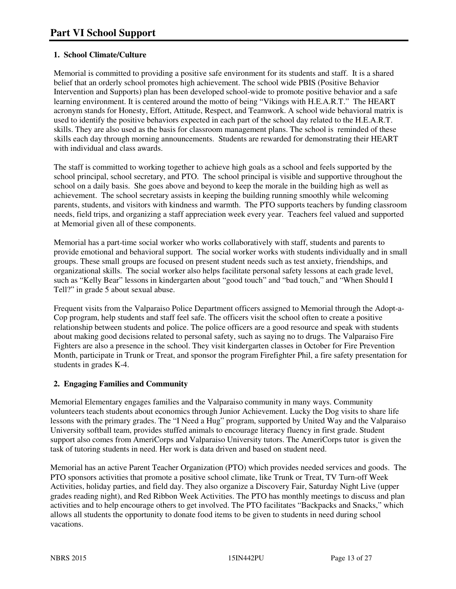## **1. School Climate/Culture**

Memorial is committed to providing a positive safe environment for its students and staff. It is a shared belief that an orderly school promotes high achievement. The school wide PBIS (Positive Behavior Intervention and Supports) plan has been developed school-wide to promote positive behavior and a safe learning environment. It is centered around the motto of being "Vikings with H.E.A.R.T." The HEART acronym stands for Honesty, Effort, Attitude, Respect, and Teamwork. A school wide behavioral matrix is used to identify the positive behaviors expected in each part of the school day related to the H.E.A.R.T. skills. They are also used as the basis for classroom management plans. The school is reminded of these skills each day through morning announcements. Students are rewarded for demonstrating their HEART with individual and class awards.

The staff is committed to working together to achieve high goals as a school and feels supported by the school principal, school secretary, and PTO. The school principal is visible and supportive throughout the school on a daily basis. She goes above and beyond to keep the morale in the building high as well as achievement. The school secretary assists in keeping the building running smoothly while welcoming parents, students, and visitors with kindness and warmth. The PTO supports teachers by funding classroom needs, field trips, and organizing a staff appreciation week every year. Teachers feel valued and supported at Memorial given all of these components.

Memorial has a part-time social worker who works collaboratively with staff, students and parents to provide emotional and behavioral support. The social worker works with students individually and in small groups. These small groups are focused on present student needs such as test anxiety, friendships, and organizational skills. The social worker also helps facilitate personal safety lessons at each grade level, such as "Kelly Bear" lessons in kindergarten about "good touch" and "bad touch," and "When Should I Tell?" in grade 5 about sexual abuse.

Frequent visits from the Valparaiso Police Department officers assigned to Memorial through the Adopt-a-Cop program, help students and staff feel safe. The officers visit the school often to create a positive relationship between students and police. The police officers are a good resource and speak with students about making good decisions related to personal safety, such as saying no to drugs. The Valparaiso Fire Fighters are also a presence in the school. They visit kindergarten classes in October for Fire Prevention Month, participate in Trunk or Treat, and sponsor the program Firefighter Phil, a fire safety presentation for students in grades K-4.

## **2. Engaging Families and Community**

Memorial Elementary engages families and the Valparaiso community in many ways. Community volunteers teach students about economics through Junior Achievement. Lucky the Dog visits to share life lessons with the primary grades. The "I Need a Hug" program, supported by United Way and the Valparaiso University softball team, provides stuffed animals to encourage literacy fluency in first grade. Student support also comes from AmeriCorps and Valparaiso University tutors. The AmeriCorps tutor is given the task of tutoring students in need. Her work is data driven and based on student need.

Memorial has an active Parent Teacher Organization (PTO) which provides needed services and goods. The PTO sponsors activities that promote a positive school climate, like Trunk or Treat, TV Turn-off Week Activities, holiday parties, and field day. They also organize a Discovery Fair, Saturday Night Live (upper grades reading night), and Red Ribbon Week Activities. The PTO has monthly meetings to discuss and plan activities and to help encourage others to get involved. The PTO facilitates "Backpacks and Snacks," which allows all students the opportunity to donate food items to be given to students in need during school vacations.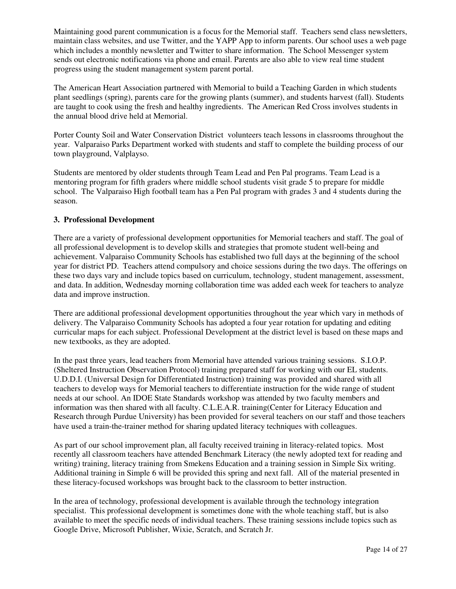Maintaining good parent communication is a focus for the Memorial staff. Teachers send class newsletters, maintain class websites, and use Twitter, and the YAPP App to inform parents. Our school uses a web page which includes a monthly newsletter and Twitter to share information. The School Messenger system sends out electronic notifications via phone and email. Parents are also able to view real time student progress using the student management system parent portal.

The American Heart Association partnered with Memorial to build a Teaching Garden in which students plant seedlings (spring), parents care for the growing plants (summer), and students harvest (fall). Students are taught to cook using the fresh and healthy ingredients. The American Red Cross involves students in the annual blood drive held at Memorial.

Porter County Soil and Water Conservation District volunteers teach lessons in classrooms throughout the year. Valparaiso Parks Department worked with students and staff to complete the building process of our town playground, Valplayso.

Students are mentored by older students through Team Lead and Pen Pal programs. Team Lead is a mentoring program for fifth graders where middle school students visit grade 5 to prepare for middle school. The Valparaiso High football team has a Pen Pal program with grades 3 and 4 students during the season.

#### **3. Professional Development**

There are a variety of professional development opportunities for Memorial teachers and staff. The goal of all professional development is to develop skills and strategies that promote student well-being and achievement. Valparaiso Community Schools has established two full days at the beginning of the school year for district PD. Teachers attend compulsory and choice sessions during the two days. The offerings on these two days vary and include topics based on curriculum, technology, student management, assessment, and data. In addition, Wednesday morning collaboration time was added each week for teachers to analyze data and improve instruction.

There are additional professional development opportunities throughout the year which vary in methods of delivery. The Valparaiso Community Schools has adopted a four year rotation for updating and editing curricular maps for each subject. Professional Development at the district level is based on these maps and new textbooks, as they are adopted.

In the past three years, lead teachers from Memorial have attended various training sessions. S.I.O.P. (Sheltered Instruction Observation Protocol) training prepared staff for working with our EL students. U.D.D.I. (Universal Design for Differentiated Instruction) training was provided and shared with all teachers to develop ways for Memorial teachers to differentiate instruction for the wide range of student needs at our school. An IDOE State Standards workshop was attended by two faculty members and information was then shared with all faculty. C.L.E.A.R. training(Center for Literacy Education and Research through Purdue University) has been provided for several teachers on our staff and those teachers have used a train-the-trainer method for sharing updated literacy techniques with colleagues.

As part of our school improvement plan, all faculty received training in literacy-related topics. Most recently all classroom teachers have attended Benchmark Literacy (the newly adopted text for reading and writing) training, literacy training from Smekens Education and a training session in Simple Six writing. Additional training in Simple 6 will be provided this spring and next fall. All of the material presented in these literacy-focused workshops was brought back to the classroom to better instruction.

In the area of technology, professional development is available through the technology integration specialist. This professional development is sometimes done with the whole teaching staff, but is also available to meet the specific needs of individual teachers. These training sessions include topics such as Google Drive, Microsoft Publisher, Wixie, Scratch, and Scratch Jr.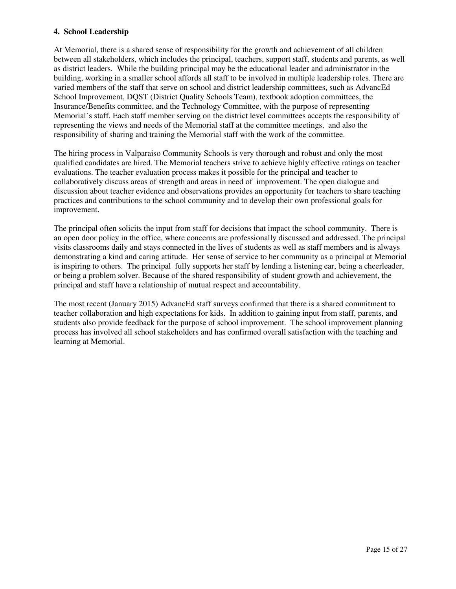#### **4. School Leadership**

At Memorial, there is a shared sense of responsibility for the growth and achievement of all children between all stakeholders, which includes the principal, teachers, support staff, students and parents, as well as district leaders. While the building principal may be the educational leader and administrator in the building, working in a smaller school affords all staff to be involved in multiple leadership roles. There are varied members of the staff that serve on school and district leadership committees, such as AdvancEd School Improvement, DQST (District Quality Schools Team), textbook adoption committees, the Insurance/Benefits committee, and the Technology Committee, with the purpose of representing Memorial's staff. Each staff member serving on the district level committees accepts the responsibility of representing the views and needs of the Memorial staff at the committee meetings, and also the responsibility of sharing and training the Memorial staff with the work of the committee.

The hiring process in Valparaiso Community Schools is very thorough and robust and only the most qualified candidates are hired. The Memorial teachers strive to achieve highly effective ratings on teacher evaluations. The teacher evaluation process makes it possible for the principal and teacher to collaboratively discuss areas of strength and areas in need of improvement. The open dialogue and discussion about teacher evidence and observations provides an opportunity for teachers to share teaching practices and contributions to the school community and to develop their own professional goals for improvement.

The principal often solicits the input from staff for decisions that impact the school community. There is an open door policy in the office, where concerns are professionally discussed and addressed. The principal visits classrooms daily and stays connected in the lives of students as well as staff members and is always demonstrating a kind and caring attitude. Her sense of service to her community as a principal at Memorial is inspiring to others. The principal fully supports her staff by lending a listening ear, being a cheerleader, or being a problem solver. Because of the shared responsibility of student growth and achievement, the principal and staff have a relationship of mutual respect and accountability.

The most recent (January 2015) AdvancEd staff surveys confirmed that there is a shared commitment to teacher collaboration and high expectations for kids. In addition to gaining input from staff, parents, and students also provide feedback for the purpose of school improvement. The school improvement planning process has involved all school stakeholders and has confirmed overall satisfaction with the teaching and learning at Memorial.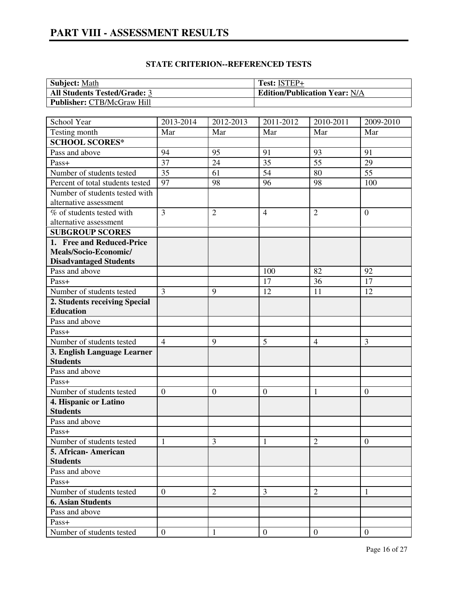# **PART VIII - ASSESSMENT RESULTS**

| <b>Subject:</b> Math                | Test: ISTEP+                         |
|-------------------------------------|--------------------------------------|
| <b>All Students Tested/Grade: 3</b> | <b>Edition/Publication Year: N/A</b> |
| <b>Publisher: CTB/McGraw Hill</b>   |                                      |

| School Year                      | 2013-2014        | 2012-2013      | 2011-2012        | 2010-2011       | 2009-2010        |
|----------------------------------|------------------|----------------|------------------|-----------------|------------------|
| Testing month                    | Mar              | Mar            | Mar              | Mar             | Mar              |
| <b>SCHOOL SCORES*</b>            |                  |                |                  |                 |                  |
| Pass and above                   | 94               | 95             | 91               | 93              | 91               |
| Pass+                            | 37               | 24             | 35               | $\overline{55}$ | 29               |
| Number of students tested        | $\overline{35}$  | 61             | 54               | 80              | $\overline{55}$  |
| Percent of total students tested | 97               | 98             | 96               | 98              | 100              |
| Number of students tested with   |                  |                |                  |                 |                  |
| alternative assessment           |                  |                |                  |                 |                  |
| % of students tested with        | $\overline{3}$   | $\overline{2}$ | $\overline{4}$   | $\overline{2}$  | $\overline{0}$   |
| alternative assessment           |                  |                |                  |                 |                  |
| <b>SUBGROUP SCORES</b>           |                  |                |                  |                 |                  |
| 1. Free and Reduced-Price        |                  |                |                  |                 |                  |
| Meals/Socio-Economic/            |                  |                |                  |                 |                  |
| <b>Disadvantaged Students</b>    |                  |                |                  |                 |                  |
| Pass and above                   |                  |                | 100              | 82              | 92               |
| Pass+                            |                  |                | 17               | 36              | 17               |
| Number of students tested        | $\overline{3}$   | 9              | 12               | 11              | 12               |
| 2. Students receiving Special    |                  |                |                  |                 |                  |
| <b>Education</b>                 |                  |                |                  |                 |                  |
| Pass and above                   |                  |                |                  |                 |                  |
| Pass+                            |                  |                |                  |                 |                  |
| Number of students tested        | $\overline{4}$   | 9              | 5                | $\overline{4}$  | 3                |
| 3. English Language Learner      |                  |                |                  |                 |                  |
| <b>Students</b>                  |                  |                |                  |                 |                  |
| Pass and above                   |                  |                |                  |                 |                  |
| Pass+                            |                  |                |                  |                 |                  |
| Number of students tested        | $\boldsymbol{0}$ | $\mathbf{0}$   | $\boldsymbol{0}$ | 1               | $\overline{0}$   |
| 4. Hispanic or Latino            |                  |                |                  |                 |                  |
| <b>Students</b>                  |                  |                |                  |                 |                  |
| Pass and above                   |                  |                |                  |                 |                  |
| Pass+                            |                  |                |                  |                 |                  |
| Number of students tested        | 1                | 3              | 1                | $\overline{2}$  | $\boldsymbol{0}$ |
| 5. African-American              |                  |                |                  |                 |                  |
| <b>Students</b>                  |                  |                |                  |                 |                  |
| Pass and above                   |                  |                |                  |                 |                  |
| Pass+                            |                  |                |                  |                 |                  |
| Number of students tested        | $\overline{0}$   | $\overline{c}$ | 3                | $\overline{2}$  | 1                |
| <b>6. Asian Students</b>         |                  |                |                  |                 |                  |
| Pass and above                   |                  |                |                  |                 |                  |
| Pass+                            |                  |                |                  |                 |                  |
| Number of students tested        | $\mathbf{0}$     | 1              | $\overline{0}$   | $\overline{0}$  | $\mathbf{0}$     |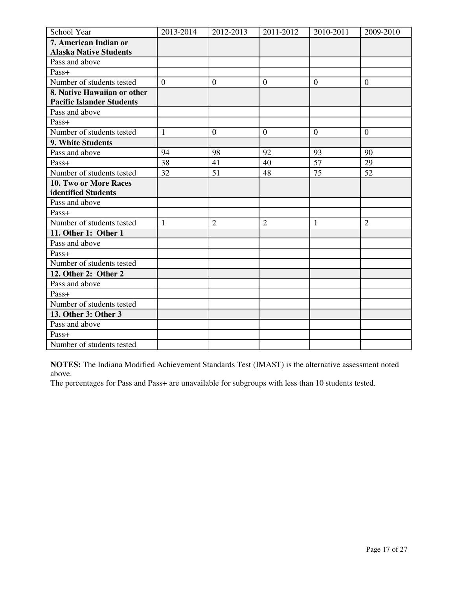| School Year                      | 2013-2014      | 2012-2013      | 2011-2012      | 2010-2011       | 2009-2010      |
|----------------------------------|----------------|----------------|----------------|-----------------|----------------|
| 7. American Indian or            |                |                |                |                 |                |
| <b>Alaska Native Students</b>    |                |                |                |                 |                |
| Pass and above                   |                |                |                |                 |                |
| Pass+                            |                |                |                |                 |                |
| Number of students tested        | $\overline{0}$ | $\mathbf{0}$   | $\overline{0}$ | $\theta$        | $\overline{0}$ |
| 8. Native Hawaiian or other      |                |                |                |                 |                |
| <b>Pacific Islander Students</b> |                |                |                |                 |                |
| Pass and above                   |                |                |                |                 |                |
| Pass+                            |                |                |                |                 |                |
| Number of students tested        | $\mathbf{1}$   | $\mathbf{0}$   | $\overline{0}$ | $\overline{0}$  | $\overline{0}$ |
| 9. White Students                |                |                |                |                 |                |
| Pass and above                   | 94             | 98             | 92             | 93              | 90             |
| Pass+                            | 38             | 41             | 40             | 57              | 29             |
| Number of students tested        | 32             | 51             | 48             | $\overline{75}$ | 52             |
| 10. Two or More Races            |                |                |                |                 |                |
| identified Students              |                |                |                |                 |                |
| Pass and above                   |                |                |                |                 |                |
| Pass+                            |                |                |                |                 |                |
| Number of students tested        | $\mathbf{1}$   | $\overline{2}$ | $\overline{2}$ | 1               | $\overline{2}$ |
| 11. Other 1: Other 1             |                |                |                |                 |                |
| Pass and above                   |                |                |                |                 |                |
| Pass+                            |                |                |                |                 |                |
| Number of students tested        |                |                |                |                 |                |
| 12. Other 2: Other 2             |                |                |                |                 |                |
| Pass and above                   |                |                |                |                 |                |
| Pass+                            |                |                |                |                 |                |
| Number of students tested        |                |                |                |                 |                |
| 13. Other 3: Other 3             |                |                |                |                 |                |
| Pass and above                   |                |                |                |                 |                |
| Pass+                            |                |                |                |                 |                |
| Number of students tested        |                |                |                |                 |                |

**NOTES:** The Indiana Modified Achievement Standards Test (IMAST) is the alternative assessment noted above.

The percentages for Pass and Pass+ are unavailable for subgroups with less than 10 students tested.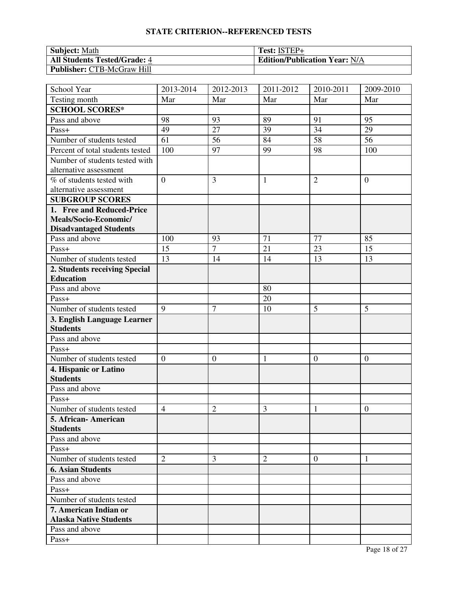| <b>Subject:</b> Math                | Test: ISTEP+                         |
|-------------------------------------|--------------------------------------|
| <b>All Students Tested/Grade: 4</b> | <b>Edition/Publication Year: N/A</b> |
| <b>Publisher: CTB-McGraw Hill</b>   |                                      |

| School Year                      | 2013-2014        | 2012-2013      | 2011-2012      | 2010-2011        | 2009-2010      |
|----------------------------------|------------------|----------------|----------------|------------------|----------------|
| Testing month                    | Mar              | Mar            | Mar            | Mar              | Mar            |
| <b>SCHOOL SCORES*</b>            |                  |                |                |                  |                |
| Pass and above                   | 98               | 93             | 89             | 91               | 95             |
| Pass+                            | 49               | 27             | 39             | 34               | 29             |
| Number of students tested        | $\overline{61}$  | 56             | 84             | 58               | 56             |
| Percent of total students tested | 100              | 97             | 99             | 98               | 100            |
| Number of students tested with   |                  |                |                |                  |                |
| alternative assessment           |                  |                |                |                  |                |
| % of students tested with        | $\overline{0}$   | 3              | $\mathbf{1}$   | $\overline{2}$   | $\overline{0}$ |
| alternative assessment           |                  |                |                |                  |                |
| <b>SUBGROUP SCORES</b>           |                  |                |                |                  |                |
| 1. Free and Reduced-Price        |                  |                |                |                  |                |
| Meals/Socio-Economic/            |                  |                |                |                  |                |
| <b>Disadvantaged Students</b>    |                  |                |                |                  |                |
| Pass and above                   | 100              | 93             | 71             | 77               | 85             |
| Pass+                            | 15               | $\overline{7}$ | 21             | 23               | 15             |
| Number of students tested        | 13               | 14             | 14             | 13               | 13             |
| 2. Students receiving Special    |                  |                |                |                  |                |
| <b>Education</b>                 |                  |                |                |                  |                |
| Pass and above                   |                  |                | 80             |                  |                |
| Pass+                            |                  |                | 20             |                  |                |
| Number of students tested        | 9                | $\overline{7}$ | 10             | 5                | 5              |
| 3. English Language Learner      |                  |                |                |                  |                |
| <b>Students</b>                  |                  |                |                |                  |                |
| Pass and above                   |                  |                |                |                  |                |
| Pass+                            |                  |                |                |                  |                |
| Number of students tested        | $\boldsymbol{0}$ | $\overline{0}$ | $\mathbf{1}$   | $\boldsymbol{0}$ | $\mathbf{0}$   |
| 4. Hispanic or Latino            |                  |                |                |                  |                |
| <b>Students</b>                  |                  |                |                |                  |                |
| Pass and above                   |                  |                |                |                  |                |
| Pass+                            |                  |                |                |                  |                |
| Number of students tested        | $\overline{4}$   | $\overline{2}$ | 3              | 1                | $\overline{0}$ |
| 5. African-American              |                  |                |                |                  |                |
| <b>Students</b>                  |                  |                |                |                  |                |
| Pass and above                   |                  |                |                |                  |                |
| $Pass+$                          |                  |                |                |                  |                |
| Number of students tested        | $\overline{2}$   | 3              | $\overline{2}$ | $\overline{0}$   | 1              |
| <b>6. Asian Students</b>         |                  |                |                |                  |                |
| Pass and above                   |                  |                |                |                  |                |
| Pass+                            |                  |                |                |                  |                |
| Number of students tested        |                  |                |                |                  |                |
| 7. American Indian or            |                  |                |                |                  |                |
| <b>Alaska Native Students</b>    |                  |                |                |                  |                |
| Pass and above                   |                  |                |                |                  |                |
| Pass+                            |                  |                |                |                  |                |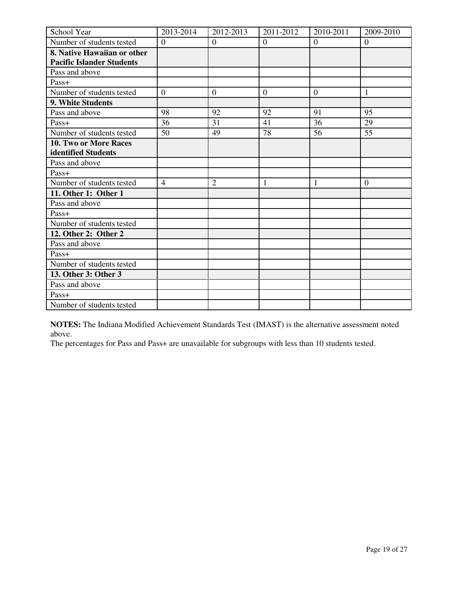| School Year                      | 2013-2014        | 2012-2013        | 2011-2012    | 2010-2011        | 2009-2010      |
|----------------------------------|------------------|------------------|--------------|------------------|----------------|
| Number of students tested        | $\overline{0}$   | $\theta$         | $\theta$     | $\theta$         | $\overline{0}$ |
| 8. Native Hawaiian or other      |                  |                  |              |                  |                |
| <b>Pacific Islander Students</b> |                  |                  |              |                  |                |
| Pass and above                   |                  |                  |              |                  |                |
| Pass+                            |                  |                  |              |                  |                |
| Number of students tested        | $\boldsymbol{0}$ | $\boldsymbol{0}$ | $\mathbf{0}$ | $\boldsymbol{0}$ | 1              |
| 9. White Students                |                  |                  |              |                  |                |
| Pass and above                   | 98               | 92               | 92           | 91               | 95             |
| Pass+                            | 36               | 31               | 41           | 36               | 29             |
| Number of students tested        | 50               | 49               | 78           | 56               | 55             |
| <b>10. Two or More Races</b>     |                  |                  |              |                  |                |
| identified Students              |                  |                  |              |                  |                |
| Pass and above                   |                  |                  |              |                  |                |
| Pass+                            |                  |                  |              |                  |                |
| Number of students tested        | $\overline{4}$   | $\overline{2}$   | 1            | 1                | $\overline{0}$ |
| 11. Other 1: Other 1             |                  |                  |              |                  |                |
| Pass and above                   |                  |                  |              |                  |                |
| Pass+                            |                  |                  |              |                  |                |
| Number of students tested        |                  |                  |              |                  |                |
| 12. Other 2: Other 2             |                  |                  |              |                  |                |
| Pass and above                   |                  |                  |              |                  |                |
| Pass+                            |                  |                  |              |                  |                |
| Number of students tested        |                  |                  |              |                  |                |
| 13. Other 3: Other 3             |                  |                  |              |                  |                |
| Pass and above                   |                  |                  |              |                  |                |
| Pass+                            |                  |                  |              |                  |                |
| Number of students tested        |                  |                  |              |                  |                |

**NOTES:** The Indiana Modified Achievement Standards Test (IMAST) is the alternative assessment noted above.

The percentages for Pass and Pass+ are unavailable for subgroups with less than 10 students tested.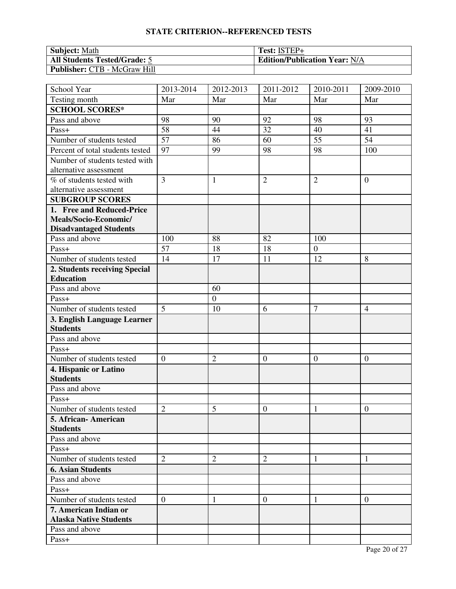| <b>Subject:</b> Math                | Test: ISTEP+                         |
|-------------------------------------|--------------------------------------|
| <b>All Students Tested/Grade: 5</b> | <b>Edition/Publication Year: N/A</b> |
| <b>Publisher: CTB - McGraw Hill</b> |                                      |

| School Year                      | 2013-2014        | 2012-2013      | 2011-2012        | 2010-2011       | 2009-2010        |
|----------------------------------|------------------|----------------|------------------|-----------------|------------------|
| Testing month                    | Mar              | Mar            | Mar              | Mar             | Mar              |
| <b>SCHOOL SCORES*</b>            |                  |                |                  |                 |                  |
| Pass and above                   | 98               | 90             | 92               | 98              | 93               |
| Pass+                            | 58               | 44             | 32               | 40              | 41               |
| Number of students tested        | $\overline{57}$  | 86             | 60               | $\overline{55}$ | 54               |
| Percent of total students tested | 97               | 99             | 98               | 98              | 100              |
| Number of students tested with   |                  |                |                  |                 |                  |
| alternative assessment           |                  |                |                  |                 |                  |
| % of students tested with        | $\overline{3}$   | 1              | $\overline{2}$   | $\overline{2}$  | $\overline{0}$   |
| alternative assessment           |                  |                |                  |                 |                  |
| <b>SUBGROUP SCORES</b>           |                  |                |                  |                 |                  |
| 1. Free and Reduced-Price        |                  |                |                  |                 |                  |
| Meals/Socio-Economic/            |                  |                |                  |                 |                  |
| <b>Disadvantaged Students</b>    |                  |                |                  |                 |                  |
| Pass and above                   | 100              | 88             | 82               | 100             |                  |
| Pass+                            | 57               | 18             | 18               | $\overline{0}$  |                  |
| Number of students tested        | 14               | 17             | 11               | 12              | 8                |
| 2. Students receiving Special    |                  |                |                  |                 |                  |
| <b>Education</b>                 |                  |                |                  |                 |                  |
| Pass and above                   |                  | 60             |                  |                 |                  |
| Pass+                            |                  | $\mathbf{0}$   |                  |                 |                  |
| Number of students tested        | 5                | 10             | 6                | $\overline{7}$  | $\overline{4}$   |
| 3. English Language Learner      |                  |                |                  |                 |                  |
| <b>Students</b>                  |                  |                |                  |                 |                  |
| Pass and above                   |                  |                |                  |                 |                  |
| Pass+                            |                  |                |                  |                 |                  |
| Number of students tested        | $\boldsymbol{0}$ | $\overline{2}$ | $\boldsymbol{0}$ | $\mathbf{0}$    | $\mathbf{0}$     |
| 4. Hispanic or Latino            |                  |                |                  |                 |                  |
| <b>Students</b>                  |                  |                |                  |                 |                  |
| Pass and above                   |                  |                |                  |                 |                  |
| Pass+                            |                  |                |                  |                 |                  |
| Number of students tested        | $\overline{2}$   | 5              | $\boldsymbol{0}$ | 1               | $\boldsymbol{0}$ |
| 5. African-American              |                  |                |                  |                 |                  |
| <b>Students</b>                  |                  |                |                  |                 |                  |
| Pass and above                   |                  |                |                  |                 |                  |
| $Pass+$                          |                  |                |                  |                 |                  |
| Number of students tested        | $\overline{2}$   | $\overline{2}$ | $\overline{2}$   | 1               | $\mathbf{1}$     |
| <b>6. Asian Students</b>         |                  |                |                  |                 |                  |
| Pass and above                   |                  |                |                  |                 |                  |
| Pass+                            |                  |                |                  |                 |                  |
| Number of students tested        | $\theta$         | 1              | $\overline{0}$   | 1               | $\overline{0}$   |
| 7. American Indian or            |                  |                |                  |                 |                  |
| <b>Alaska Native Students</b>    |                  |                |                  |                 |                  |
| Pass and above                   |                  |                |                  |                 |                  |
| Pass+                            |                  |                |                  |                 |                  |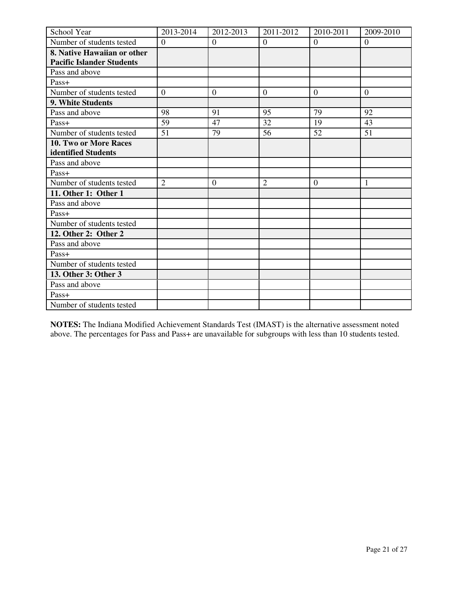| School Year                      | 2013-2014        | 2012-2013        | 2011-2012      | 2010-2011        | 2009-2010        |
|----------------------------------|------------------|------------------|----------------|------------------|------------------|
| Number of students tested        | $\mathbf{0}$     | $\overline{0}$   | $\overline{0}$ | $\mathbf{0}$     | $\overline{0}$   |
| 8. Native Hawaiian or other      |                  |                  |                |                  |                  |
| <b>Pacific Islander Students</b> |                  |                  |                |                  |                  |
| Pass and above                   |                  |                  |                |                  |                  |
| Pass+                            |                  |                  |                |                  |                  |
| Number of students tested        | $\boldsymbol{0}$ | $\boldsymbol{0}$ | $\mathbf{0}$   | $\boldsymbol{0}$ | $\boldsymbol{0}$ |
| <b>9. White Students</b>         |                  |                  |                |                  |                  |
| Pass and above                   | 98               | 91               | 95             | 79               | 92               |
| Pass+                            | 59               | 47               | 32             | 19               | 43               |
| Number of students tested        | 51               | 79               | 56             | 52               | 51               |
| 10. Two or More Races            |                  |                  |                |                  |                  |
| identified Students              |                  |                  |                |                  |                  |
| Pass and above                   |                  |                  |                |                  |                  |
| Pass+                            |                  |                  |                |                  |                  |
| Number of students tested        | $\overline{2}$   | $\mathbf{0}$     | $\overline{2}$ | $\mathbf{0}$     | 1                |
| 11. Other 1: Other 1             |                  |                  |                |                  |                  |
| Pass and above                   |                  |                  |                |                  |                  |
| Pass+                            |                  |                  |                |                  |                  |
| Number of students tested        |                  |                  |                |                  |                  |
| 12. Other 2: Other 2             |                  |                  |                |                  |                  |
| Pass and above                   |                  |                  |                |                  |                  |
| Pass+                            |                  |                  |                |                  |                  |
| Number of students tested        |                  |                  |                |                  |                  |
| 13. Other 3: Other 3             |                  |                  |                |                  |                  |
| Pass and above                   |                  |                  |                |                  |                  |
| Pass+                            |                  |                  |                |                  |                  |
| Number of students tested        |                  |                  |                |                  |                  |

**NOTES:** The Indiana Modified Achievement Standards Test (IMAST) is the alternative assessment noted above. The percentages for Pass and Pass+ are unavailable for subgroups with less than 10 students tested.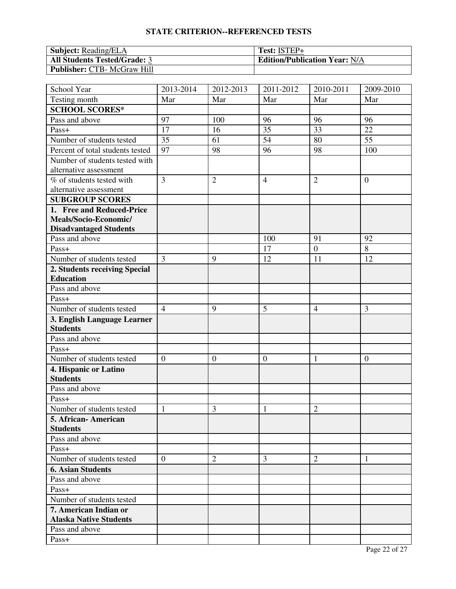| <b>Subject:</b> Reading/ELA         | Test: ISTEP+                         |
|-------------------------------------|--------------------------------------|
| <b>All Students Tested/Grade: 3</b> | <b>Edition/Publication Year: N/A</b> |
| <b>Publisher: CTB- McGraw Hill</b>  |                                      |

| School Year                      | 2013-2014        | 2012-2013      | 2011-2012        | 2010-2011        | $\overline{2009}$ -2010 |
|----------------------------------|------------------|----------------|------------------|------------------|-------------------------|
| Testing month                    | Mar              | Mar            | Mar              | Mar              | Mar                     |
| <b>SCHOOL SCORES*</b>            |                  |                |                  |                  |                         |
| Pass and above                   | 97               | 100            | 96               | 96               | 96                      |
| Pass+                            | 17               | 16             | 35               | 33               | 22                      |
| Number of students tested        | 35               | 61             | 54               | 80               | 55                      |
| Percent of total students tested | 97               | 98             | 96               | 98               | 100                     |
| Number of students tested with   |                  |                |                  |                  |                         |
| alternative assessment           |                  |                |                  |                  |                         |
| % of students tested with        | 3                | $\overline{2}$ | $\overline{4}$   | $\overline{2}$   | $\boldsymbol{0}$        |
| alternative assessment           |                  |                |                  |                  |                         |
| <b>SUBGROUP SCORES</b>           |                  |                |                  |                  |                         |
| 1. Free and Reduced-Price        |                  |                |                  |                  |                         |
| Meals/Socio-Economic/            |                  |                |                  |                  |                         |
| <b>Disadvantaged Students</b>    |                  |                |                  |                  |                         |
| Pass and above                   |                  |                | 100              | 91               | 92                      |
| Pass+                            |                  |                | 17               | $\boldsymbol{0}$ | 8                       |
| Number of students tested        | 3                | 9              | 12               | 11               | 12                      |
| 2. Students receiving Special    |                  |                |                  |                  |                         |
| <b>Education</b>                 |                  |                |                  |                  |                         |
| Pass and above                   |                  |                |                  |                  |                         |
| Pass+                            |                  |                |                  |                  |                         |
| Number of students tested        | $\overline{4}$   | 9              | 5                | $\overline{4}$   | 3                       |
| 3. English Language Learner      |                  |                |                  |                  |                         |
| <b>Students</b>                  |                  |                |                  |                  |                         |
| Pass and above                   |                  |                |                  |                  |                         |
| Pass+                            |                  |                |                  |                  |                         |
| Number of students tested        | $\boldsymbol{0}$ | $\mathbf{0}$   | $\boldsymbol{0}$ | $\mathbf{1}$     | $\mathbf{0}$            |
| 4. Hispanic or Latino            |                  |                |                  |                  |                         |
| <b>Students</b>                  |                  |                |                  |                  |                         |
| Pass and above                   |                  |                |                  |                  |                         |
| Pass+                            |                  |                |                  |                  |                         |
| Number of students tested        | $\mathbf{1}$     | 3              | $\mathbf{1}$     | $\overline{2}$   |                         |
| 5. African-American              |                  |                |                  |                  |                         |
| <b>Students</b>                  |                  |                |                  |                  |                         |
| Pass and above                   |                  |                |                  |                  |                         |
| Pass+                            |                  |                |                  |                  |                         |
| Number of students tested        | $\overline{0}$   | $\overline{2}$ | 3                | $\overline{2}$   | 1                       |
| <b>6. Asian Students</b>         |                  |                |                  |                  |                         |
| Pass and above                   |                  |                |                  |                  |                         |
| Pass+                            |                  |                |                  |                  |                         |
| Number of students tested        |                  |                |                  |                  |                         |
| 7. American Indian or            |                  |                |                  |                  |                         |
| <b>Alaska Native Students</b>    |                  |                |                  |                  |                         |
| Pass and above                   |                  |                |                  |                  |                         |
| Pass+                            |                  |                |                  |                  |                         |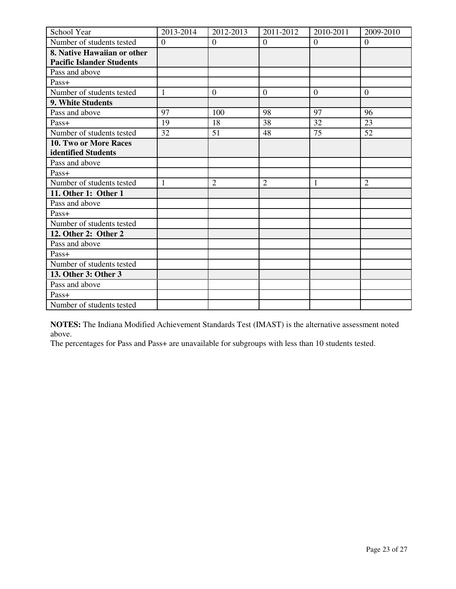| School Year                      | 2013-2014      | 2012-2013      | 2011-2012      | 2010-2011      | 2009-2010      |
|----------------------------------|----------------|----------------|----------------|----------------|----------------|
| Number of students tested        | $\overline{0}$ | $\overline{0}$ | $\overline{0}$ | $\mathbf{0}$   | $\overline{0}$ |
| 8. Native Hawaiian or other      |                |                |                |                |                |
| <b>Pacific Islander Students</b> |                |                |                |                |                |
| Pass and above                   |                |                |                |                |                |
| Pass+                            |                |                |                |                |                |
| Number of students tested        | 1              | $\theta$       | $\mathbf{0}$   | $\overline{0}$ | $\overline{0}$ |
| 9. White Students                |                |                |                |                |                |
| Pass and above                   | 97             | 100            | 98             | 97             | 96             |
| Pass+                            | 19             | 18             | 38             | 32             | 23             |
| Number of students tested        | 32             | 51             | 48             | 75             | 52             |
| 10. Two or More Races            |                |                |                |                |                |
| identified Students              |                |                |                |                |                |
| Pass and above                   |                |                |                |                |                |
| Pass+                            |                |                |                |                |                |
| Number of students tested        | 1              | $\overline{2}$ | $\overline{2}$ | 1              | $\overline{2}$ |
| 11. Other 1: Other 1             |                |                |                |                |                |
| Pass and above                   |                |                |                |                |                |
| Pass+                            |                |                |                |                |                |
| Number of students tested        |                |                |                |                |                |
| 12. Other 2: Other 2             |                |                |                |                |                |
| Pass and above                   |                |                |                |                |                |
| Pass+                            |                |                |                |                |                |
| Number of students tested        |                |                |                |                |                |
| 13. Other 3: Other 3             |                |                |                |                |                |
| Pass and above                   |                |                |                |                |                |
| Pass+                            |                |                |                |                |                |
| Number of students tested        |                |                |                |                |                |

**NOTES:** The Indiana Modified Achievement Standards Test (IMAST) is the alternative assessment noted above.

The percentages for Pass and Pass+ are unavailable for subgroups with less than 10 students tested.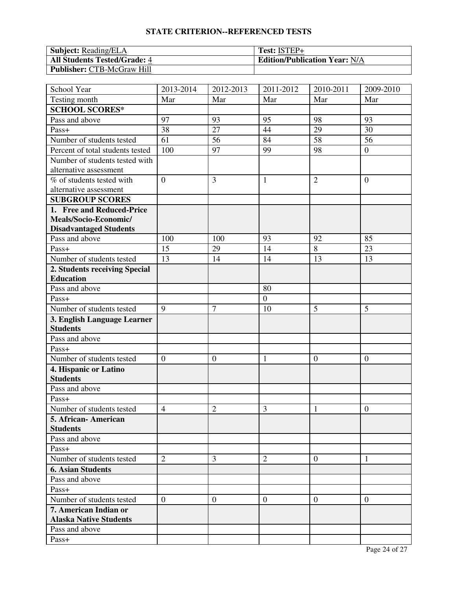| <b>Subject: Reading/ELA</b>         | Test: ISTEP+                         |
|-------------------------------------|--------------------------------------|
| <b>All Students Tested/Grade: 4</b> | <b>Edition/Publication Year: N/A</b> |
| <b>Publisher: CTB-McGraw Hill</b>   |                                      |

| School Year                      | 2013-2014        | 2012-2013      | 2011-2012        | 2010-2011        | 2009-2010      |
|----------------------------------|------------------|----------------|------------------|------------------|----------------|
| Testing month                    | Mar              | Mar            | Mar              | Mar              | Mar            |
| <b>SCHOOL SCORES*</b>            |                  |                |                  |                  |                |
| Pass and above                   | 97               | 93             | 95               | 98               | 93             |
| Pass+                            | 38               | 27             | 44               | 29               | 30             |
| Number of students tested        | $\overline{61}$  | 56             | 84               | 58               | 56             |
| Percent of total students tested | 100              | 97             | 99               | 98               | $\overline{0}$ |
| Number of students tested with   |                  |                |                  |                  |                |
| alternative assessment           |                  |                |                  |                  |                |
| % of students tested with        | $\overline{0}$   | 3              | $\mathbf{1}$     | $\overline{2}$   | $\overline{0}$ |
| alternative assessment           |                  |                |                  |                  |                |
| <b>SUBGROUP SCORES</b>           |                  |                |                  |                  |                |
| 1. Free and Reduced-Price        |                  |                |                  |                  |                |
| Meals/Socio-Economic/            |                  |                |                  |                  |                |
| <b>Disadvantaged Students</b>    |                  |                |                  |                  |                |
| Pass and above                   | 100              | 100            | 93               | 92               | 85             |
| Pass+                            | 15               | 29             | 14               | 8                | 23             |
| Number of students tested        | 13               | 14             | 14               | 13               | 13             |
| 2. Students receiving Special    |                  |                |                  |                  |                |
| <b>Education</b>                 |                  |                |                  |                  |                |
| Pass and above                   |                  |                | 80               |                  |                |
| Pass+                            |                  |                | $\boldsymbol{0}$ |                  |                |
| Number of students tested        | 9                | $\overline{7}$ | 10               | 5                | 5              |
| 3. English Language Learner      |                  |                |                  |                  |                |
| <b>Students</b>                  |                  |                |                  |                  |                |
| Pass and above                   |                  |                |                  |                  |                |
| Pass+                            |                  |                |                  |                  |                |
| Number of students tested        | $\boldsymbol{0}$ | $\mathbf{0}$   | $\mathbf{1}$     | $\boldsymbol{0}$ | $\mathbf{0}$   |
| 4. Hispanic or Latino            |                  |                |                  |                  |                |
| <b>Students</b>                  |                  |                |                  |                  |                |
| Pass and above                   |                  |                |                  |                  |                |
| Pass+                            |                  |                |                  |                  |                |
| Number of students tested        | $\overline{4}$   | $\overline{2}$ | 3                | 1                | $\overline{0}$ |
| 5. African-American              |                  |                |                  |                  |                |
| <b>Students</b>                  |                  |                |                  |                  |                |
| Pass and above                   |                  |                |                  |                  |                |
| $Pass+$                          |                  |                |                  |                  |                |
| Number of students tested        | $\overline{2}$   | 3              | $\overline{2}$   | $\overline{0}$   | 1              |
| <b>6. Asian Students</b>         |                  |                |                  |                  |                |
| Pass and above                   |                  |                |                  |                  |                |
| Pass+                            |                  |                |                  |                  |                |
| Number of students tested        | $\overline{0}$   | $\mathbf{0}$   | $\mathbf{0}$     | $\theta$         | $\mathbf{0}$   |
| 7. American Indian or            |                  |                |                  |                  |                |
| <b>Alaska Native Students</b>    |                  |                |                  |                  |                |
| Pass and above                   |                  |                |                  |                  |                |
| Pass+                            |                  |                |                  |                  |                |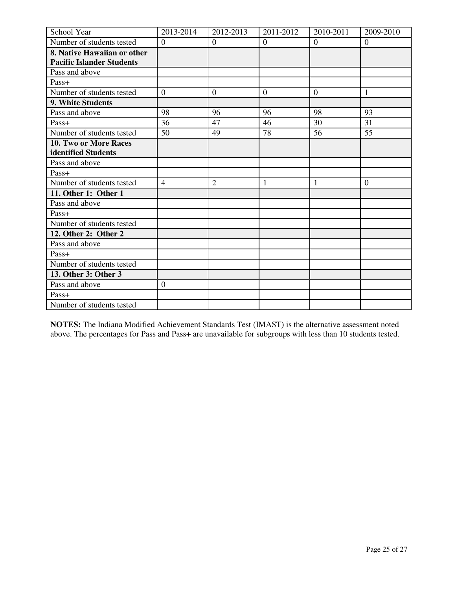| School Year                      | 2013-2014        | 2012-2013      | 2011-2012      | 2010-2011        | 2009-2010      |
|----------------------------------|------------------|----------------|----------------|------------------|----------------|
| Number of students tested        | $\overline{0}$   | $\overline{0}$ | $\overline{0}$ | $\overline{0}$   | $\overline{0}$ |
| 8. Native Hawaiian or other      |                  |                |                |                  |                |
| <b>Pacific Islander Students</b> |                  |                |                |                  |                |
| Pass and above                   |                  |                |                |                  |                |
| Pass+                            |                  |                |                |                  |                |
| Number of students tested        | $\boldsymbol{0}$ | $\mathbf{0}$   | $\mathbf{0}$   | $\boldsymbol{0}$ | 1              |
| <b>9. White Students</b>         |                  |                |                |                  |                |
| Pass and above                   | 98               | 96             | 96             | 98               | 93             |
| Pass+                            | 36               | 47             | 46             | 30               | 31             |
| Number of students tested        | 50               | 49             | 78             | 56               | 55             |
| 10. Two or More Races            |                  |                |                |                  |                |
| identified Students              |                  |                |                |                  |                |
| Pass and above                   |                  |                |                |                  |                |
| Pass+                            |                  |                |                |                  |                |
| Number of students tested        | $\overline{4}$   | $\overline{2}$ | 1              | 1                | $\overline{0}$ |
| 11. Other 1: Other 1             |                  |                |                |                  |                |
| Pass and above                   |                  |                |                |                  |                |
| Pass+                            |                  |                |                |                  |                |
| Number of students tested        |                  |                |                |                  |                |
| 12. Other 2: Other 2             |                  |                |                |                  |                |
| Pass and above                   |                  |                |                |                  |                |
| Pass+                            |                  |                |                |                  |                |
| Number of students tested        |                  |                |                |                  |                |
| 13. Other 3: Other 3             |                  |                |                |                  |                |
| Pass and above                   | $\boldsymbol{0}$ |                |                |                  |                |
| Pass+                            |                  |                |                |                  |                |
| Number of students tested        |                  |                |                |                  |                |

**NOTES:** The Indiana Modified Achievement Standards Test (IMAST) is the alternative assessment noted above. The percentages for Pass and Pass+ are unavailable for subgroups with less than 10 students tested.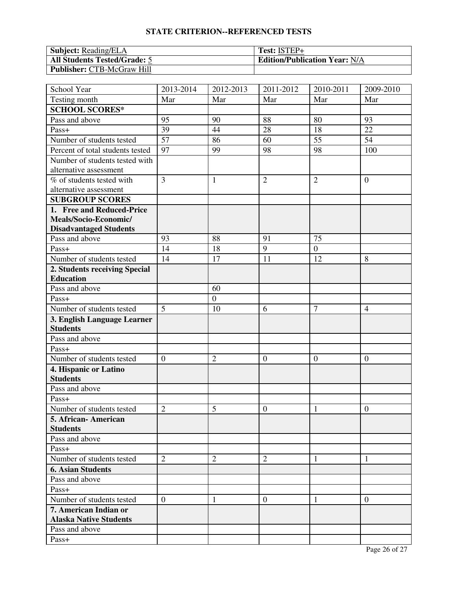| <b>Subject: Reading/ELA</b>         | Test: ISTEP+                         |
|-------------------------------------|--------------------------------------|
| <b>All Students Tested/Grade: 5</b> | <b>Edition/Publication Year: N/A</b> |
| <b>Publisher: CTB-McGraw Hill</b>   |                                      |

| School Year                      | 2013-2014        | 2012-2013        | 2011-2012        | 2010-2011       | 2009-2010        |
|----------------------------------|------------------|------------------|------------------|-----------------|------------------|
| Testing month                    | Mar              | Mar              | Mar              | Mar             | Mar              |
| <b>SCHOOL SCORES*</b>            |                  |                  |                  |                 |                  |
| Pass and above                   | 95               | 90               | 88               | 80              | 93               |
| Pass+                            | 39               | 44               | 28               | 18              | 22               |
| Number of students tested        | $\overline{57}$  | 86               | 60               | $\overline{55}$ | 54               |
| Percent of total students tested | 97               | 99               | 98               | 98              | 100              |
| Number of students tested with   |                  |                  |                  |                 |                  |
| alternative assessment           |                  |                  |                  |                 |                  |
| % of students tested with        | $\overline{3}$   | 1                | $\overline{2}$   | $\overline{2}$  | $\overline{0}$   |
| alternative assessment           |                  |                  |                  |                 |                  |
| <b>SUBGROUP SCORES</b>           |                  |                  |                  |                 |                  |
| 1. Free and Reduced-Price        |                  |                  |                  |                 |                  |
| Meals/Socio-Economic/            |                  |                  |                  |                 |                  |
| <b>Disadvantaged Students</b>    |                  |                  |                  |                 |                  |
| Pass and above                   | 93               | 88               | 91               | 75              |                  |
| Pass+                            | 14               | 18               | 9                | $\overline{0}$  |                  |
| Number of students tested        | 14               | 17               | 11               | 12              | 8                |
| 2. Students receiving Special    |                  |                  |                  |                 |                  |
| <b>Education</b>                 |                  |                  |                  |                 |                  |
| Pass and above                   |                  | 60               |                  |                 |                  |
| Pass+                            |                  | $\boldsymbol{0}$ |                  |                 |                  |
| Number of students tested        | 5                | 10               | 6                | $\overline{7}$  | $\overline{4}$   |
| 3. English Language Learner      |                  |                  |                  |                 |                  |
| <b>Students</b>                  |                  |                  |                  |                 |                  |
| Pass and above                   |                  |                  |                  |                 |                  |
| Pass+                            |                  |                  |                  |                 |                  |
| Number of students tested        | $\boldsymbol{0}$ | $\overline{2}$   | $\boldsymbol{0}$ | $\mathbf{0}$    | $\overline{0}$   |
| 4. Hispanic or Latino            |                  |                  |                  |                 |                  |
| <b>Students</b>                  |                  |                  |                  |                 |                  |
| Pass and above                   |                  |                  |                  |                 |                  |
| Pass+                            |                  |                  |                  |                 |                  |
| Number of students tested        | $\overline{2}$   | 5                | $\boldsymbol{0}$ | 1               | $\boldsymbol{0}$ |
| 5. African-American              |                  |                  |                  |                 |                  |
| <b>Students</b>                  |                  |                  |                  |                 |                  |
| Pass and above                   |                  |                  |                  |                 |                  |
| $Pass+$                          |                  |                  |                  |                 |                  |
| Number of students tested        | $\overline{2}$   | $\overline{2}$   | $\overline{2}$   | 1               | $\mathbf{1}$     |
| <b>6. Asian Students</b>         |                  |                  |                  |                 |                  |
| Pass and above                   |                  |                  |                  |                 |                  |
| Pass+                            |                  |                  |                  |                 |                  |
| Number of students tested        | $\overline{0}$   | 1                | $\overline{0}$   | 1               | $\overline{0}$   |
| 7. American Indian or            |                  |                  |                  |                 |                  |
| <b>Alaska Native Students</b>    |                  |                  |                  |                 |                  |
| Pass and above                   |                  |                  |                  |                 |                  |
| Pass+                            |                  |                  |                  |                 |                  |